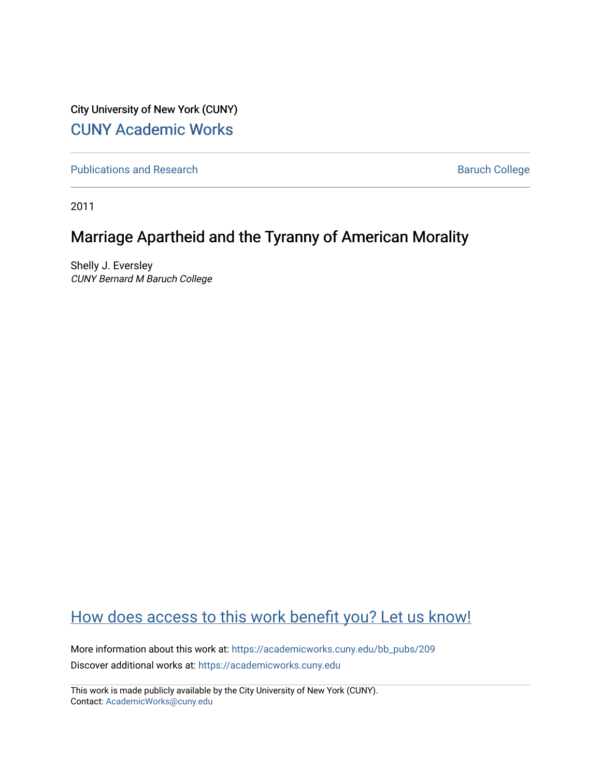City University of New York (CUNY) [CUNY Academic Works](https://academicworks.cuny.edu/) 

[Publications and Research](https://academicworks.cuny.edu/bb_pubs) **Baruch College** Baruch College

2011

## Marriage Apartheid and the Tyranny of American Morality

Shelly J. Eversley CUNY Bernard M Baruch College

## [How does access to this work benefit you? Let us know!](http://ols.cuny.edu/academicworks/?ref=https://academicworks.cuny.edu/bb_pubs/209)

More information about this work at: [https://academicworks.cuny.edu/bb\\_pubs/209](https://academicworks.cuny.edu/bb_pubs/209)  Discover additional works at: [https://academicworks.cuny.edu](https://academicworks.cuny.edu/?)

This work is made publicly available by the City University of New York (CUNY). Contact: [AcademicWorks@cuny.edu](mailto:AcademicWorks@cuny.edu)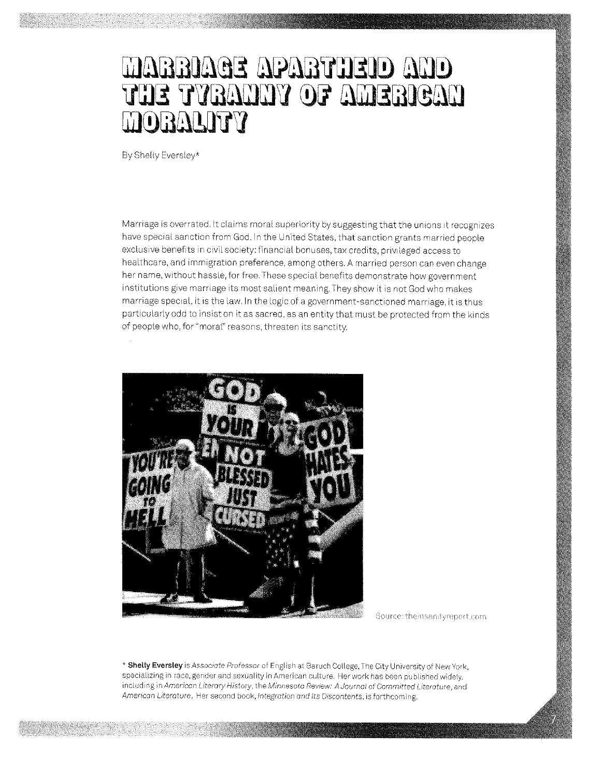## MAGRIAGE APABTIJEID AND THE TYBAHHY OF AMERICAN TTGGGGGGGG

By Shelly Eversley\*

Marriage is overrated. It claims moral superiority by suggesting that the unions it recognizes have special sanction from God. In the United States, that sanction grants married people exclusive benefits in civil society: financial bonuses, tax credits, privileged access to healthcare, and immigration preference, among others. A married person can even change her name, without hassle, for free. These special benefits demonstrate how government institutions give marriage its most salient meaning. They show it is not God who makes marriage special, it is the law. In the logic of a government-sanctioned marriage, it is thus particularly odd to insist on it as sacred, as an entity that must be protected from the kinds of people who, for "moral" reasons, threaten its sanctity.



Source: theinsanityreport.com

\* Shelly Eversley is Associate Professor of English at Baruch College, The City University of New York, specializing in race, gender and sexuality in American culture. Her work has been published widely. including in American Literary History, the Minnesota Review: A Journal of Committed Literature, and American Literature. Her second book, integration and its Discontents, is forthcoming.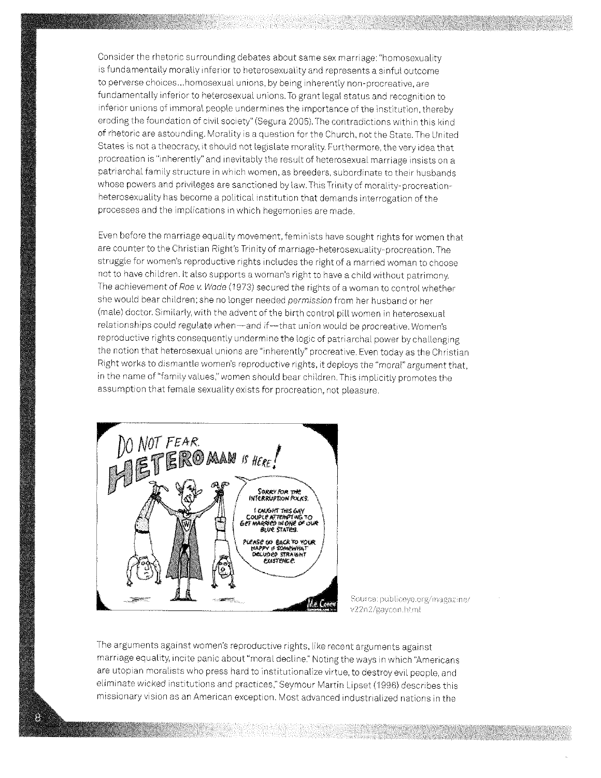Consider the rhetoric surrounding debates about same sex marriage: "homosexuality is fundamentally morally inferior to heterosexuality and represents a sinful outcome to perverse choices ... homosexual unions, by being inherently non-procreative, are fundamentally inferior to heterosexual unions. To grant legal status and recognition to inferior unions of immoral people undermines the importance of the institution, thereby eroding the foundation of civil society" (Segura 2005). The contradictions within this kind of rhetoric are astounding. Morality is a question for the Church, not the State. The United States is not a theocracy, it should not legislate morality. Furthermore, the very idea that procreation is "inherently" and inevitably the result of heterosexual marriage insists on a patriarchal family structure in which women, as breeders, subordinate to their husbands whose powers and privileges are sanctioned by law. This Trinity of morality-procreationheterosexuality has become a political institution that demands interrogation of the processes and the implications in which hegemonies are made.

Even before the marriage equality movement, feminists have sought rights for women that are counter to the Christian Right's Trinity of marriage-heterosexuality-procreation. The struggle for women's reproductive rights includes the right of a married woman to choose not to have children. It also supports a woman's right to have a child without patrimony. The achievement of Roe v. Wade (1973) secured the rights of a woman to control whether she would bear children; she no longer needed permission from her husband or her (male) doctor. Similarly, with the advent of the birth control pill women in heterosexual relationships could regulate when-and if-that union would be procreative. Women's reproductive rights consequently undermine the logic of patriarchal power by challenging the notion that heterosexual unions are "inherently" procreative. Even today as the Christian Right works to dismantle women's reproductive rights. it deploys the "moral" argument that. in the name of "family values," women should bear children. This implicitly promotes the assumption that female sexuality exists for procreation, not pleasure.



Source: publiceye.org/magazine/ v22n2/gaycon.html

The arguments against women's reproductive rights. like recent arguments against marriage equality, incite panic about "moral decline." Noting the ways in which ''Americans are utopian moralists who press hard to institutionalize virtue, to destroy evil people, and eliminate wicked institutions and practices." Seymour Martin Lipset (I 996) describes this missionary vision as an American exception. Most advanced industrialized nations in the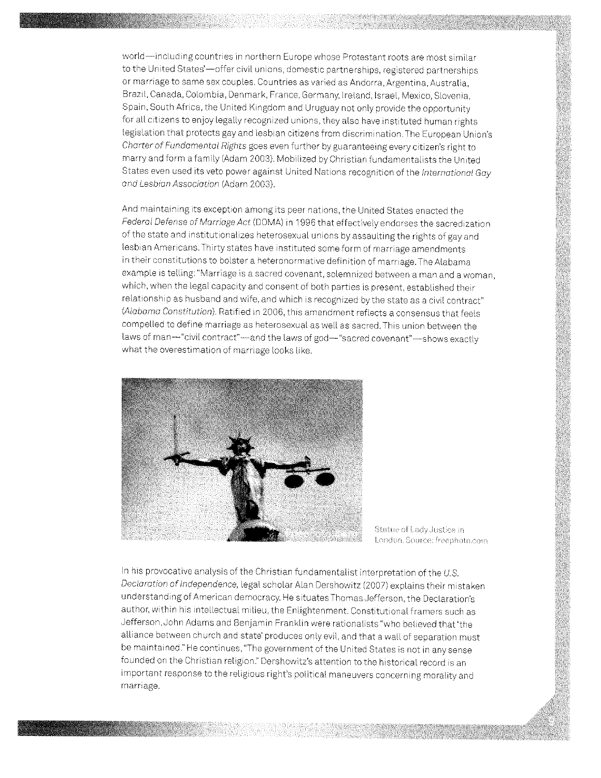world-including countries in northern Europe whose Protestant roots are most similar to the United States'--offer civil unions, domestic partnerships, registered partnerships or marriage to same sex couples. Countries as varied as Andorra, Argentina, Australia, Brazil, Canada, Colombia, Denmark, France, Germany, Ireland, Israel, Mexico, Slovenia, Spain, South Africa, the United Kingdom and Uruguay not only provide the opportunity for all citizens to enjoy legally recognized unions, they also have instituted human rights legislation that protects gay and lesbian citizens from discrimination. The European Union's Charter of Fundamental Rights goes even further by guaranteeing every citizen's right to marry and form a family /Adam 2003). Mobilized by Christian fundamentalists the United States even used its veto power against United Nations recognition of the International Goy and Lesbian Association (Adam 2003).

And maintaining its exception among its peer nations, the United States enacted the Federal Defense of Marriage Act (DOMA) in 1996 that effectively endorses the sacredization of the state and institutionalizes heterosexual unions by assaulting the rights of gay and lesbian Americans. Thirty states have instituted some form of marriage amendments in their constitutions to bolster a heteronormative definition of marriage. The Alabama example is telling:"Marriage is a sacred covenant, solemnized between a man and a woman, which, when the legal capacity and consent of both parties is present, established their relationship as husband and wife, and which is recognized by the state as a civil contract" (Alabama Constitution). Ratified in 2006, this amendment reflects a consensus that feels compelled **to** define marriage as heterosexual as well as sacred. This union between the laws of man-"civil contract"-and the laws of god-"sacred covenant"-shows exactly what the overestimation of marriage looks like.



Statue of Lady Justice in London, Source: freephoto.com

In his provocative analysis of the Christian fundamentalist interpretation of the *US.*  Declaration of Independence, legal scholar Alan Dershowitz (2007) explains their mistaken understanding of American democracy. He situates Thomas Jefferson, the Declaration's author, within his intellectual milieu, the Enlightenment. Constitutional framers such as Jefferson, John Adams and BenJamin Franklin were rationalists "who believed that 'the alliance between church and state' produces only evil, and that a wall of separation must be maintained." He continues, "The government of the United States is not in any sense founded on the Christian religion." Dershowitz's attention to the historical record is an important response to the religious right's political maneuvers concerning morality and mamage.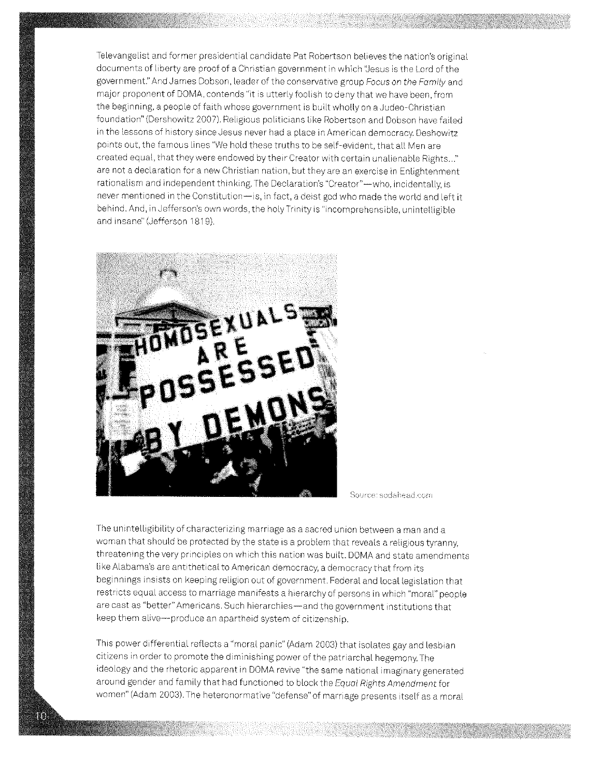Televangelist and former presidential candidate Pat Robertson believes the nation's original documents of liberty are proof of a Christian government in which "Jesus is the Lord of the government." And James Dobson, leader of the conservative group Focus on the Family and major proponent of DOMA, contends "it is utterly foolish to deny that we have been, from the beginning, a people of faith whose government is built wholly on a Judea-Christian foundation" (Dershowitz 2007), Religious politicians like Robertson and Dobson have failed in the lessons of history since Jesus never had a place in American democracy. Deshowitz points out, the famous lines "We hold these truths to be self-evident, that all Men are created equal, that they were endowed by their Creator with certain unalienable Rights..." are not a declaration for a new Christian nation, but they are an exercise in Enlightenment rationalism and independent thinking. The Declaration's "Creator"-- who, incidentally, is never mentioned in the Constitution-is, in fact, a deist god who made the world and left it behind. And, in Jefferson's own words, the holy Trinity is "incomprehensible, unintelligible and insane" (Jefferson 1819),



Source: sodahead.com

The unintelligibility of characterizing marriage as a sacred union between a man and a woman that should be protected by the state is a problem that reveals a religious tyranny, threatening the very principles on which this nation was built. DOMA and state amendments like Alabama's are antithetical to American democracy, a democracy that from its beginnings insists on keeping religion out of government. Federal and local legislation that restricts equal access to marriage manifests a hierarchy of persons in which "moral" people are cast as "better" Americans. Such hierarchies-and the government institutions that keep them alive-produce an apartheid system of citizenship.

This power differential reflects a "moral panic" (Adam 2003) that isolates gay and lesbian citizens in order to promote the diminishing power of the patriarchal hegemony, The ideology and the rhetoric apparent in DOMA revive "the same national imaginary generated around gender and family that had functioned to block the Equal Rights Amendment for women" (Adam 2003). The heteronormative "defense" of marriage presents itself as a moral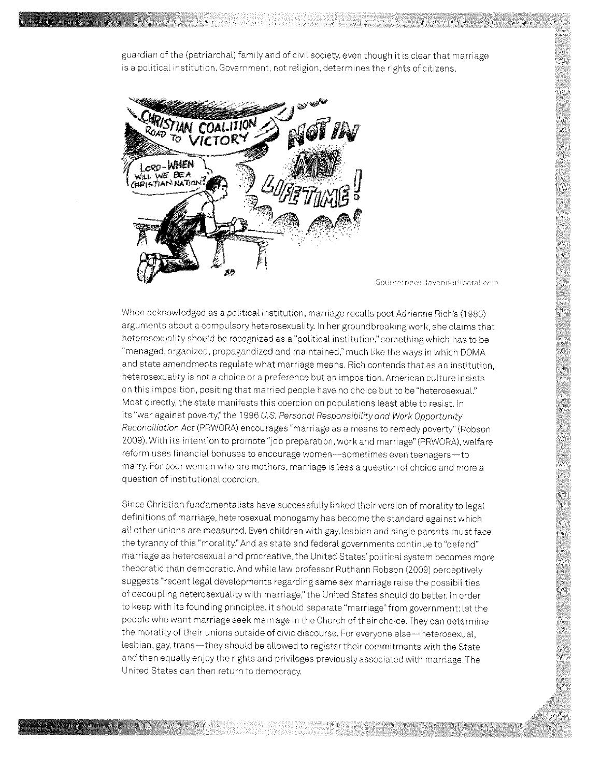guardian of the (patriarchal) family and of civil society. even though it is clear that marriage is a political institution. Government, not religion, determines the rights of citizens.



Source: news.tavenderliberat.com

When acknowledged as a political institution, marriage recalls poet Adrienne Rich's (1980) arguments about a compulsory heterosexuality. In her groundbreaking work. she claims that heterosexuality should be recognized as a "political institution," something which has to be "managed, organized. propagandized and maintained." much like the ways in which DOMA and state amendments regulate what marriage means. Rich contends that as an institution. heterosexuality is not a choice or a preference but an imposition. American culture insists on this imposition, positing that married people have no choice but to be "heterosexual." Most directly, the state manifests this coercion on populations least able to resist. In its "war against poverty," the 1996 U.S. Personal Responsibility and Work Opportunity Reconciliation Act (PRWORA) encourages "marriage as a means to remedy poverty" (Robson 2009). With its intention to promote "job preparation, work and marriage" (PRWORA), welfare reform uses financial bonuses to encourage women-sometimes even teenagers-to marry. For poor women who are mothers, marriage is less a question of choice and more a question of institutional coercion.

Since Christian fundamentalists have successfully linked their version of morality to legal definitions of marriage. heterosexual monogamy has become the standard against which all other unions are measured. Even children with gay, lesbian and single parents must face the tyranny of this "morality." And as state and federal governments continue to "defend" marriage as heterosexual and procreative, the United States' political system becomes more theocratic than democratic. And while law professor Ruthann Robson (2009) perceptively suggests "recent legal developments regarding same sex marriage raise the possibilities of decoupling heterosexuality with marriage," the United States should do better. In order to keep with its founding principles. it should separate "marriage" from government: let the people who want marriage seek marriage in the Church of their choice. They can determine the morality of their unions outside of civic discourse. For everyone else-heterosexual, lesbian, gay, trans-they should be allowed to register their commitments with the State and then equally enjoy the rights and privileges previously associated with marriage. The United States can then return to democracy.